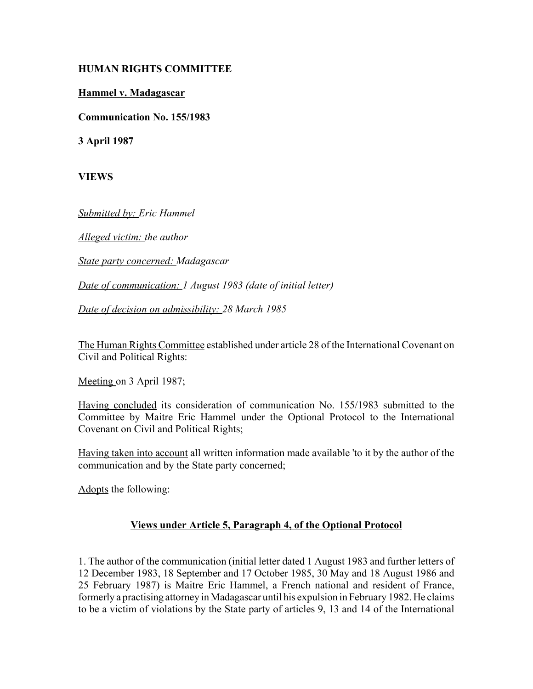## **HUMAN RIGHTS COMMITTEE**

## **Hammel v. Madagascar**

**Communication No. 155/1983**

**3 April 1987**

**VIEWS**

*Submitted by: Eric Hammel* 

*Alleged victim: the author* 

*State party concerned: Madagascar* 

*Date of communication: 1 August 1983 (date of initial letter)* 

*Date of decision on admissibility: 28 March 1985*

The Human Rights Committee established under article 28 of the International Covenant on Civil and Political Rights:

Meeting on 3 April 1987;

Having concluded its consideration of communication No. 155/1983 submitted to the Committee by Maitre Eric Hammel under the Optional Protocol to the International Covenant on Civil and Political Rights;

Having taken into account all written information made available 'to it by the author of the communication and by the State party concerned;

Adopts the following:

## **Views under Article 5, Paragraph 4, of the Optional Protocol**

1. The author of the communication (initial letter dated 1 August 1983 and further letters of 12 December 1983, 18 September and 17 October 1985, 30 May and 18 August 1986 and 25 February 1987) is Maitre Eric Hammel, a French national and resident of France, formerly a practising attorney in Madagascar until his expulsion in February 1982. He claims to be a victim of violations by the State party of articles 9, 13 and 14 of the International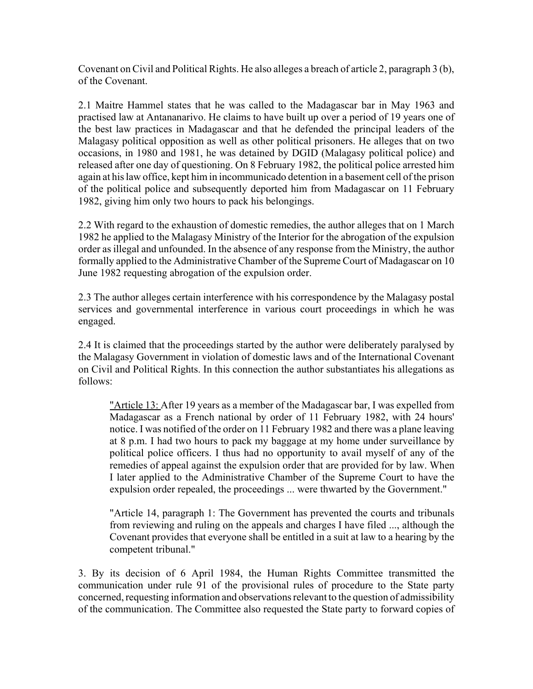Covenant on Civil and Political Rights. He also alleges a breach of article 2, paragraph 3 (b), of the Covenant.

2.1 Maitre Hammel states that he was called to the Madagascar bar in May 1963 and practised law at Antananarivo. He claims to have built up over a period of 19 years one of the best law practices in Madagascar and that he defended the principal leaders of the Malagasy political opposition as well as other political prisoners. He alleges that on two occasions, in 1980 and 1981, he was detained by DGID (Malagasy political police) and released after one day of questioning. On 8 February 1982, the political police arrested him again at his law office, kept him in incommunicado detention in a basement cell of the prison of the political police and subsequently deported him from Madagascar on 11 February 1982, giving him only two hours to pack his belongings.

2.2 With regard to the exhaustion of domestic remedies, the author alleges that on 1 March 1982 he applied to the Malagasy Ministry of the Interior for the abrogation of the expulsion order as illegal and unfounded. In the absence of any response from the Ministry, the author formally applied to the Administrative Chamber of the Supreme Court of Madagascar on 10 June 1982 requesting abrogation of the expulsion order.

2.3 The author alleges certain interference with his correspondence by the Malagasy postal services and governmental interference in various court proceedings in which he was engaged.

2.4 It is claimed that the proceedings started by the author were deliberately paralysed by the Malagasy Government in violation of domestic laws and of the International Covenant on Civil and Political Rights. In this connection the author substantiates his allegations as follows:

"Article 13: After 19 years as a member of the Madagascar bar, I was expelled from Madagascar as a French national by order of 11 February 1982, with 24 hours' notice. I was notified of the order on 11 February 1982 and there was a plane leaving at 8 p.m. I had two hours to pack my baggage at my home under surveillance by political police officers. I thus had no opportunity to avail myself of any of the remedies of appeal against the expulsion order that are provided for by law. When I later applied to the Administrative Chamber of the Supreme Court to have the expulsion order repealed, the proceedings ... were thwarted by the Government."

"Article 14, paragraph 1: The Government has prevented the courts and tribunals from reviewing and ruling on the appeals and charges I have filed ..., although the Covenant provides that everyone shall be entitled in a suit at law to a hearing by the competent tribunal."

3. By its decision of 6 April 1984, the Human Rights Committee transmitted the communication under rule 91 of the provisional rules of procedure to the State party concerned, requesting information and observations relevant to the question of admissibility of the communication. The Committee also requested the State party to forward copies of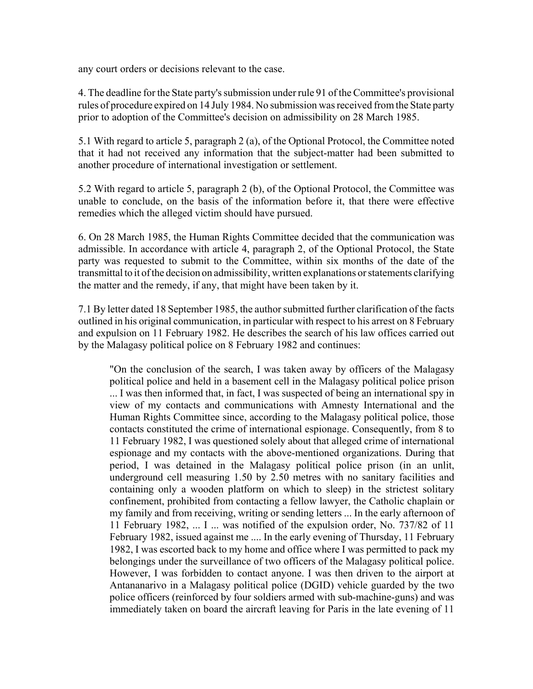any court orders or decisions relevant to the case.

4. The deadline for the State party's submission under rule 91 of the Committee's provisional rules of procedure expired on 14 July 1984. No submission was received from the State party prior to adoption of the Committee's decision on admissibility on 28 March 1985.

5.1 With regard to article 5, paragraph 2 (a), of the Optional Protocol, the Committee noted that it had not received any information that the subject-matter had been submitted to another procedure of international investigation or settlement.

5.2 With regard to article 5, paragraph 2 (b), of the Optional Protocol, the Committee was unable to conclude, on the basis of the information before it, that there were effective remedies which the alleged victim should have pursued.

6. On 28 March 1985, the Human Rights Committee decided that the communication was admissible. In accordance with article 4, paragraph 2, of the Optional Protocol, the State party was requested to submit to the Committee, within six months of the date of the transmittal to it of the decision on admissibility, written explanations or statements clarifying the matter and the remedy, if any, that might have been taken by it.

7.1 By letter dated 18 September 1985, the author submitted further clarification of the facts outlined in his original communication, in particular with respect to his arrest on 8 February and expulsion on 11 February 1982. He describes the search of his law offices carried out by the Malagasy political police on 8 February 1982 and continues:

"On the conclusion of the search, I was taken away by officers of the Malagasy political police and held in a basement cell in the Malagasy political police prison ... I was then informed that, in fact, I was suspected of being an international spy in view of my contacts and communications with Amnesty International and the Human Rights Committee since, according to the Malagasy political police, those contacts constituted the crime of international espionage. Consequently, from 8 to 11 February 1982, I was questioned solely about that alleged crime of international espionage and my contacts with the above-mentioned organizations. During that period, I was detained in the Malagasy political police prison (in an unlit, underground cell measuring 1.50 by 2.50 metres with no sanitary facilities and containing only a wooden platform on which to sleep) in the strictest solitary confinement, prohibited from contacting a fellow lawyer, the Catholic chaplain or my family and from receiving, writing or sending letters ... In the early afternoon of 11 February 1982, ... I ... was notified of the expulsion order, No. 737/82 of 11 February 1982, issued against me .... In the early evening of Thursday, 11 February 1982, I was escorted back to my home and office where I was permitted to pack my belongings under the surveillance of two officers of the Malagasy political police. However, I was forbidden to contact anyone. I was then driven to the airport at Antananarivo in a Malagasy political police (DGID) vehicle guarded by the two police officers (reinforced by four soldiers armed with sub-machine-guns) and was immediately taken on board the aircraft leaving for Paris in the late evening of 11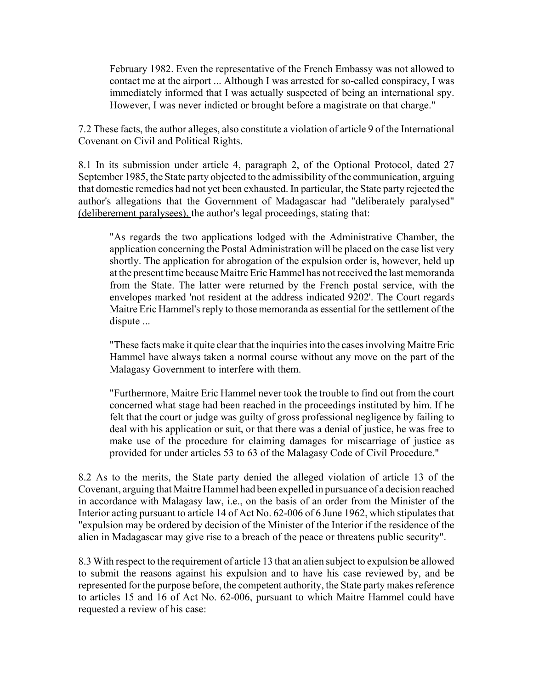February 1982. Even the representative of the French Embassy was not allowed to contact me at the airport ... Although I was arrested for so-called conspiracy, I was immediately informed that I was actually suspected of being an international spy. However, I was never indicted or brought before a magistrate on that charge."

7.2 These facts, the author alleges, also constitute a violation of article 9 of the International Covenant on Civil and Political Rights.

8.1 In its submission under article 4, paragraph 2, of the Optional Protocol, dated 27 September 1985, the State party objected to the admissibility of the communication, arguing that domestic remedies had not yet been exhausted. In particular, the State party rejected the author's allegations that the Government of Madagascar had "deliberately paralysed" (deliberement paralysees), the author's legal proceedings, stating that:

"As regards the two applications lodged with the Administrative Chamber, the application concerning the Postal Administration will be placed on the case list very shortly. The application for abrogation of the expulsion order is, however, held up at the present time because Maitre Eric Hammel has not received the last memoranda from the State. The latter were returned by the French postal service, with the envelopes marked 'not resident at the address indicated 9202'. The Court regards Maitre Eric Hammel's reply to those memoranda as essential for the settlement of the dispute ...

"These facts make it quite clear that the inquiries into the cases involving Maitre Eric Hammel have always taken a normal course without any move on the part of the Malagasy Government to interfere with them.

"Furthermore, Maitre Eric Hammel never took the trouble to find out from the court concerned what stage had been reached in the proceedings instituted by him. If he felt that the court or judge was guilty of gross professional negligence by failing to deal with his application or suit, or that there was a denial of justice, he was free to make use of the procedure for claiming damages for miscarriage of justice as provided for under articles 53 to 63 of the Malagasy Code of Civil Procedure."

8.2 As to the merits, the State party denied the alleged violation of article 13 of the Covenant, arguing that Maitre Hammel had been expelled in pursuance of a decision reached in accordance with Malagasy law, i.e., on the basis of an order from the Minister of the Interior acting pursuant to article 14 of Act No. 62-006 of 6 June 1962, which stipulates that "expulsion may be ordered by decision of the Minister of the Interior if the residence of the alien in Madagascar may give rise to a breach of the peace or threatens public security".

8.3 With respect to the requirement of article 13 that an alien subject to expulsion be allowed to submit the reasons against his expulsion and to have his case reviewed by, and be represented for the purpose before, the competent authority, the State party makes reference to articles 15 and 16 of Act No. 62-006, pursuant to which Maitre Hammel could have requested a review of his case: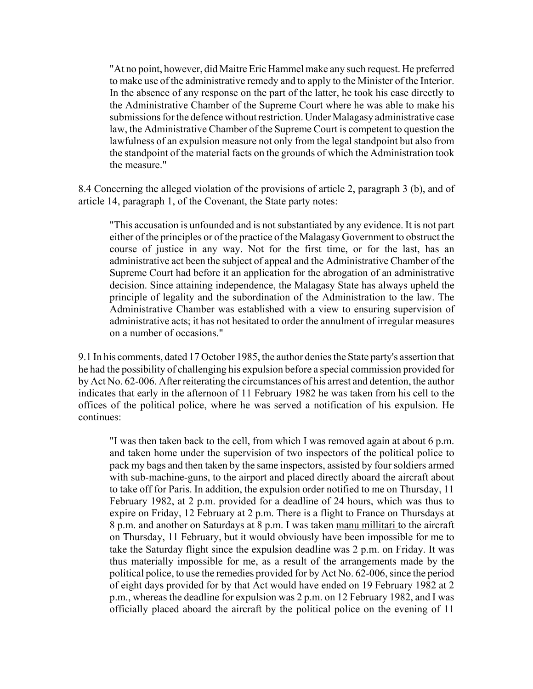"At no point, however, did Maitre Eric Hammel make any such request. He preferred to make use of the administrative remedy and to apply to the Minister of the Interior. In the absence of any response on the part of the latter, he took his case directly to the Administrative Chamber of the Supreme Court where he was able to make his submissions for the defence without restriction. Under Malagasy administrative case law, the Administrative Chamber of the Supreme Court is competent to question the lawfulness of an expulsion measure not only from the legal standpoint but also from the standpoint of the material facts on the grounds of which the Administration took the measure."

8.4 Concerning the alleged violation of the provisions of article 2, paragraph 3 (b), and of article 14, paragraph 1, of the Covenant, the State party notes:

"This accusation is unfounded and is not substantiated by any evidence. It is not part either of the principles or of the practice of the Malagasy Government to obstruct the course of justice in any way. Not for the first time, or for the last, has an administrative act been the subject of appeal and the Administrative Chamber of the Supreme Court had before it an application for the abrogation of an administrative decision. Since attaining independence, the Malagasy State has always upheld the principle of legality and the subordination of the Administration to the law. The Administrative Chamber was established with a view to ensuring supervision of administrative acts; it has not hesitated to order the annulment of irregular measures on a number of occasions."

9.1 In his comments, dated 17 October 1985, the author denies the State party's assertion that he had the possibility of challenging his expulsion before a special commission provided for by Act No. 62-006. After reiterating the circumstances of his arrest and detention, the author indicates that early in the afternoon of 11 February 1982 he was taken from his cell to the offices of the political police, where he was served a notification of his expulsion. He continues:

"I was then taken back to the cell, from which I was removed again at about 6 p.m. and taken home under the supervision of two inspectors of the political police to pack my bags and then taken by the same inspectors, assisted by four soldiers armed with sub-machine-guns, to the airport and placed directly aboard the aircraft about to take off for Paris. In addition, the expulsion order notified to me on Thursday, 11 February 1982, at 2 p.m. provided for a deadline of 24 hours, which was thus to expire on Friday, 12 February at 2 p.m. There is a flight to France on Thursdays at 8 p.m. and another on Saturdays at 8 p.m. I was taken manu millitari to the aircraft on Thursday, 11 February, but it would obviously have been impossible for me to take the Saturday flight since the expulsion deadline was 2 p.m. on Friday. It was thus materially impossible for me, as a result of the arrangements made by the political police, to use the remedies provided for by Act No. 62-006, since the period of eight days provided for by that Act would have ended on 19 February 1982 at 2 p.m., whereas the deadline for expulsion was 2 p.m. on 12 February 1982, and I was officially placed aboard the aircraft by the political police on the evening of 11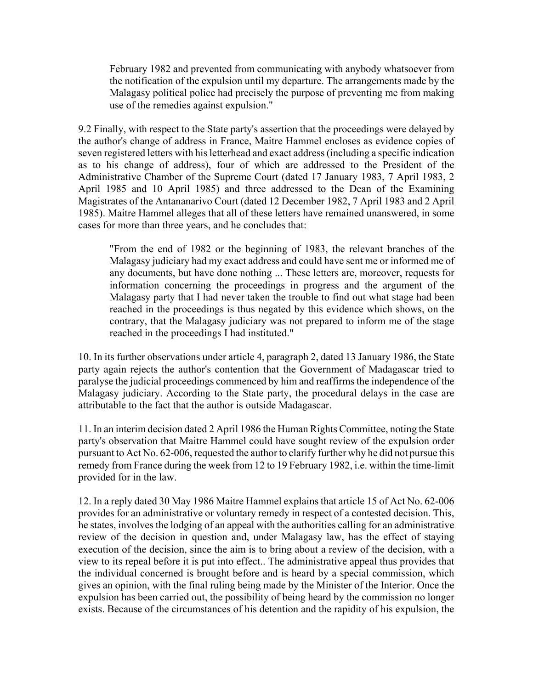February 1982 and prevented from communicating with anybody whatsoever from the notification of the expulsion until my departure. The arrangements made by the Malagasy political police had precisely the purpose of preventing me from making use of the remedies against expulsion."

9.2 Finally, with respect to the State party's assertion that the proceedings were delayed by the author's change of address in France, Maitre Hammel encloses as evidence copies of seven registered letters with his letterhead and exact address (including a specific indication as to his change of address), four of which are addressed to the President of the Administrative Chamber of the Supreme Court (dated 17 January 1983, 7 April 1983, 2 April 1985 and 10 April 1985) and three addressed to the Dean of the Examining Magistrates of the Antananarivo Court (dated 12 December 1982, 7 April 1983 and 2 April 1985). Maitre Hammel alleges that all of these letters have remained unanswered, in some cases for more than three years, and he concludes that:

"From the end of 1982 or the beginning of 1983, the relevant branches of the Malagasy judiciary had my exact address and could have sent me or informed me of any documents, but have done nothing ... These letters are, moreover, requests for information concerning the proceedings in progress and the argument of the Malagasy party that I had never taken the trouble to find out what stage had been reached in the proceedings is thus negated by this evidence which shows, on the contrary, that the Malagasy judiciary was not prepared to inform me of the stage reached in the proceedings I had instituted."

10. In its further observations under article 4, paragraph 2, dated 13 January 1986, the State party again rejects the author's contention that the Government of Madagascar tried to paralyse the judicial proceedings commenced by him and reaffirms the independence of the Malagasy judiciary. According to the State party, the procedural delays in the case are attributable to the fact that the author is outside Madagascar.

11. In an interim decision dated 2 April 1986 the Human Rights Committee, noting the State party's observation that Maitre Hammel could have sought review of the expulsion order pursuant to Act No. 62-006, requested the author to clarify further why he did not pursue this remedy from France during the week from 12 to 19 February 1982, i.e. within the time-limit provided for in the law.

12. In a reply dated 30 May 1986 Maitre Hammel explains that article 15 of Act No. 62-006 provides for an administrative or voluntary remedy in respect of a contested decision. This, he states, involves the lodging of an appeal with the authorities calling for an administrative review of the decision in question and, under Malagasy law, has the effect of staying execution of the decision, since the aim is to bring about a review of the decision, with a view to its repeal before it is put into effect.. The administrative appeal thus provides that the individual concerned is brought before and is heard by a special commission, which gives an opinion, with the final ruling being made by the Minister of the Interior. Once the expulsion has been carried out, the possibility of being heard by the commission no longer exists. Because of the circumstances of his detention and the rapidity of his expulsion, the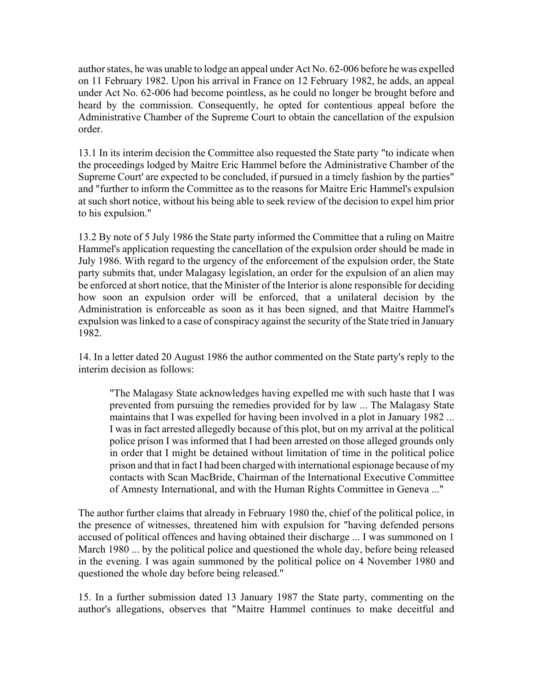author states, he was unable to lodge an appeal under Act No. 62-006 before he was expelled on 11 February 1982. Upon his arrival in France on 12 February 1982, he adds, an appeal under Act No. 62-006 had become pointless, as he could no longer be brought before and heard by the commission. Consequently, he opted for contentious appeal before the Administrative Chamber of the Supreme Court to obtain the cancellation of the expulsion order.

13.1 In its interim decision the Committee also requested the State party "to indicate when the proceedings lodged by Maitre Eric Hammel before the Administrative Chamber of the Supreme Court' are expected to be concluded, if pursued in a timely fashion by the parties" and "further to inform the Committee as to the reasons for Maitre Eric Hammel's expulsion at such short notice, without his being able to seek review of the decision to expel him prior to his expulsion."

13.2 By note of 5 July 1986 the State party informed the Committee that a ruling on Maitre Hammel's application requesting the cancellation of the expulsion order should be made in July 1986. With regard to the urgency of the enforcement of the expulsion order, the State party submits that, under Malagasy legislation, an order for the expulsion of an alien may be enforced at short notice, that the Minister of the Interior is alone responsible for deciding how soon an expulsion order will be enforced, that a unilateral decision by the Administration is enforceable as soon as it has been signed, and that Maitre Hammel's expulsion was linked to a case of conspiracy against the security of the State tried in January 1982.

14. In a letter dated 20 August 1986 the author commented on the State party's reply to the interim decision as follows:

"The Malagasy State acknowledges having expelled me with such haste that I was prevented from pursuing the remedies provided for by law ... The Malagasy State maintains that I was expelled for having been involved in a plot in January 1982 ... I was in fact arrested allegedly because of this plot, but on my arrival at the political police prison I was informed that I had been arrested on those alleged grounds only in order that I might be detained without limitation of time in the political police prison and that in fact I had been charged with international espionage because of my contacts with Scan MacBride, Chairman of the International Executive Committee of Amnesty International, and with the Human Rights Committee in Geneva ..."

The author further claims that already in February 1980 the, chief of the political police, in the presence of witnesses, threatened him with expulsion for "having defended persons accused of political offences and having obtained their discharge ... I was summoned on 1 March 1980 ... by the political police and questioned the whole day, before being released in the evening. I was again summoned by the political police on 4 November 1980 and questioned the whole day before being released."

15. In a further submission dated 13 January 1987 the State party, commenting on the author's allegations, observes that "Maitre Hammel continues to make deceitful and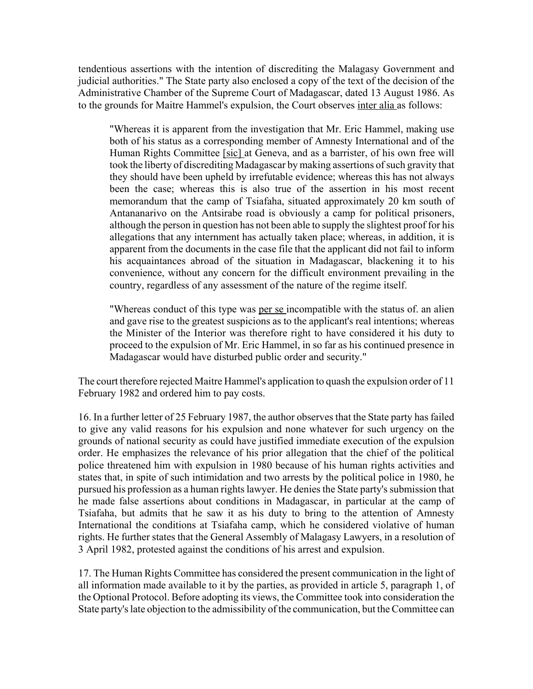tendentious assertions with the intention of discrediting the Malagasy Government and judicial authorities." The State party also enclosed a copy of the text of the decision of the Administrative Chamber of the Supreme Court of Madagascar, dated 13 August 1986. As to the grounds for Maitre Hammel's expulsion, the Court observes inter alia as follows:

"Whereas it is apparent from the investigation that Mr. Eric Hammel, making use both of his status as a corresponding member of Amnesty International and of the Human Rights Committee [sic] at Geneva, and as a barrister, of his own free will took the liberty of discrediting Madagascar by making assertions of such gravity that they should have been upheld by irrefutable evidence; whereas this has not always been the case; whereas this is also true of the assertion in his most recent memorandum that the camp of Tsiafaha, situated approximately 20 km south of Antananarivo on the Antsirabe road is obviously a camp for political prisoners, although the person in question has not been able to supply the slightest proof for his allegations that any internment has actually taken place; whereas, in addition, it is apparent from the documents in the case file that the applicant did not fail to inform his acquaintances abroad of the situation in Madagascar, blackening it to his convenience, without any concern for the difficult environment prevailing in the country, regardless of any assessment of the nature of the regime itself.

"Whereas conduct of this type was per se incompatible with the status of. an alien and gave rise to the greatest suspicions as to the applicant's real intentions; whereas the Minister of the Interior was therefore right to have considered it his duty to proceed to the expulsion of Mr. Eric Hammel, in so far as his continued presence in Madagascar would have disturbed public order and security."

The court therefore rejected Maitre Hammel's application to quash the expulsion order of 11 February 1982 and ordered him to pay costs.

16. In a further letter of 25 February 1987, the author observes that the State party has failed to give any valid reasons for his expulsion and none whatever for such urgency on the grounds of national security as could have justified immediate execution of the expulsion order. He emphasizes the relevance of his prior allegation that the chief of the political police threatened him with expulsion in 1980 because of his human rights activities and states that, in spite of such intimidation and two arrests by the political police in 1980, he pursued his profession as a human rights lawyer. He denies the State party's submission that he made false assertions about conditions in Madagascar, in particular at the camp of Tsiafaha, but admits that he saw it as his duty to bring to the attention of Amnesty International the conditions at Tsiafaha camp, which he considered violative of human rights. He further states that the General Assembly of Malagasy Lawyers, in a resolution of 3 April 1982, protested against the conditions of his arrest and expulsion.

17. The Human Rights Committee has considered the present communication in the light of all information made available to it by the parties, as provided in article 5, paragraph 1, of the Optional Protocol. Before adopting its views, the Committee took into consideration the State party's late objection to the admissibility of the communication, but the Committee can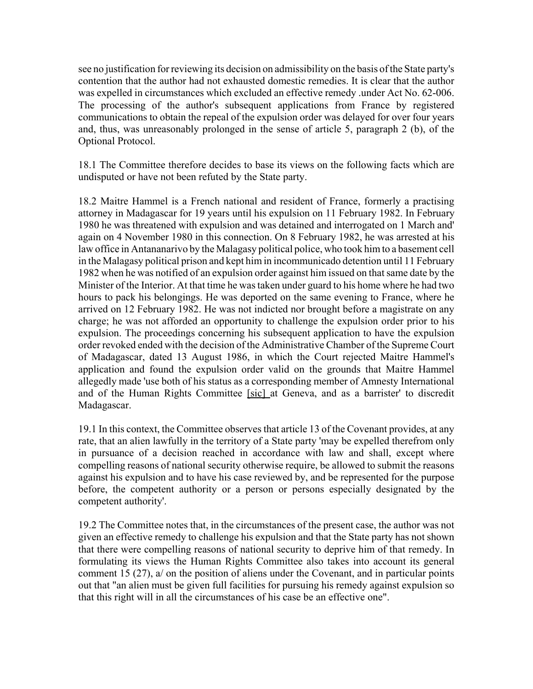see no justification for reviewing its decision on admissibility on the basis of the State party's contention that the author had not exhausted domestic remedies. It is clear that the author was expelled in circumstances which excluded an effective remedy .under Act No. 62-006. The processing of the author's subsequent applications from France by registered communications to obtain the repeal of the expulsion order was delayed for over four years and, thus, was unreasonably prolonged in the sense of article 5, paragraph 2 (b), of the Optional Protocol.

18.1 The Committee therefore decides to base its views on the following facts which are undisputed or have not been refuted by the State party.

18.2 Maitre Hammel is a French national and resident of France, formerly a practising attorney in Madagascar for 19 years until his expulsion on 11 February 1982. In February 1980 he was threatened with expulsion and was detained and interrogated on 1 March and' again on 4 November 1980 in this connection. On 8 February 1982, he was arrested at his law office in Antananarivo by the Malagasy political police, who took him to a basement cell in the Malagasy political prison and kept him in incommunicado detention until 11 February 1982 when he was notified of an expulsion order against him issued on that same date by the Minister of the Interior. At that time he was taken under guard to his home where he had two hours to pack his belongings. He was deported on the same evening to France, where he arrived on 12 February 1982. He was not indicted nor brought before a magistrate on any charge; he was not afforded an opportunity to challenge the expulsion order prior to his expulsion. The proceedings concerning his subsequent application to have the expulsion order revoked ended with the decision of the Administrative Chamber of the Supreme Court of Madagascar, dated 13 August 1986, in which the Court rejected Maitre Hammel's application and found the expulsion order valid on the grounds that Maitre Hammel allegedly made 'use both of his status as a corresponding member of Amnesty International and of the Human Rights Committee [sic] at Geneva, and as a barrister' to discredit Madagascar.

19.1 In this context, the Committee observes that article 13 of the Covenant provides, at any rate, that an alien lawfully in the territory of a State party 'may be expelled therefrom only in pursuance of a decision reached in accordance with law and shall, except where compelling reasons of national security otherwise require, be allowed to submit the reasons against his expulsion and to have his case reviewed by, and be represented for the purpose before, the competent authority or a person or persons especially designated by the competent authority'.

19.2 The Committee notes that, in the circumstances of the present case, the author was not given an effective remedy to challenge his expulsion and that the State party has not shown that there were compelling reasons of national security to deprive him of that remedy. In formulating its views the Human Rights Committee also takes into account its general comment 15 (27), a/ on the position of aliens under the Covenant, and in particular points out that "an alien must be given full facilities for pursuing his remedy against expulsion so that this right will in all the circumstances of his case be an effective one".